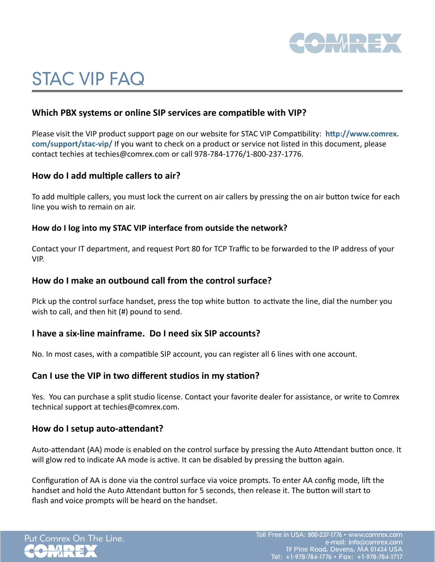

# STAC VIP FAQ

# **Which PBX systems or online SIP services are compatible with VIP?**

Please visit the VIP product support page on our website for STAC VIP Compatibility: **[http://www.comrex.](http://www.comrex.com/support/stac-vip/) [com/support/stac-vip/](http://www.comrex.com/support/stac-vip/)** If you want to check on a product or service not listed in this document, please contact techies at techies@comrex.com or call 978-784-1776/1-800-237-1776.

# **How do I add multiple callers to air?**

To add multiple callers, you must lock the current on air callers by pressing the on air button twice for each line you wish to remain on air.

## **How do I log into my STAC VIP interface from outside the network?**

Contact your IT department, and request Port 80 for TCP Traffic to be forwarded to the IP address of your VIP.

## **How do I make an outbound call from the control surface?**

PIck up the control surface handset, press the top white button to activate the line, dial the number you wish to call, and then hit (#) pound to send.

# **I have a six-line mainframe. Do I need six SIP accounts?**

No. In most cases, with a compatible SIP account, you can register all 6 lines with one account.

## **Can I use the VIP in two different studios in my station?**

Yes. You can purchase a split studio license. Contact your favorite dealer for assistance, or write to Comrex technical support at techies@comrex.com.

## **How do I setup auto-attendant?**

Auto-attendant (AA) mode is enabled on the control surface by pressing the Auto Attendant button once. It will glow red to indicate AA mode is active. It can be disabled by pressing the button again.

Configuration of AA is done via the control surface via voice prompts. To enter AA config mode, lift the handset and hold the Auto Attendant button for 5 seconds, then release it. The button will start to flash and voice prompts will be heard on the handset.